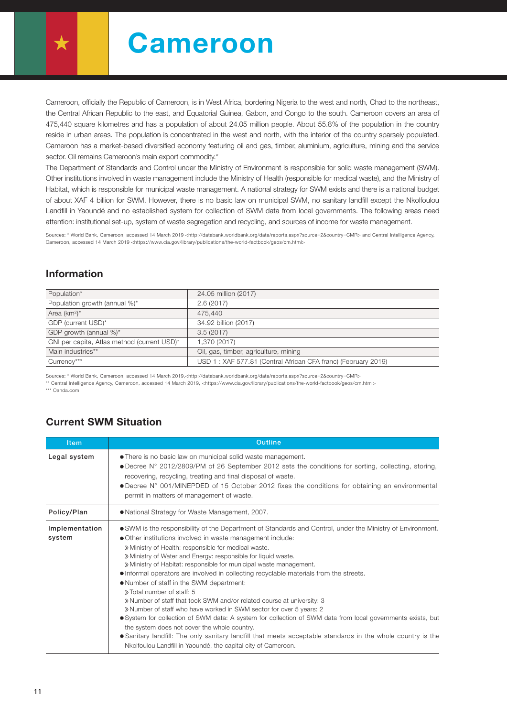Cameroon

Cameroon, officially the Republic of Cameroon, is in West Africa, bordering Nigeria to the west and north, Chad to the northeast, the Central African Republic to the east, and Equatorial Guinea, Gabon, and Congo to the south. Cameroon covers an area of 475,440 square kilometres and has a population of about 24.05 million people. About 55.8% of the population in the country reside in urban areas. The population is concentrated in the west and north, with the interior of the country sparsely populated. Cameroon has a market-based diversified economy featuring oil and gas, timber, aluminium, agriculture, mining and the service sector. Oil remains Cameroon's main export commodity.\*

The Department of Standards and Control under the Ministry of Environment is responsible for solid waste management (SWM). Other institutions involved in waste management include the Ministry of Health (responsible for medical waste), and the Ministry of Habitat, which is responsible for municipal waste management. A national strategy for SWM exists and there is a national budget of about XAF 4 billion for SWM. However, there is no basic law on municipal SWM, no sanitary landfill except the Nkolfoulou Landfill in Yaoundé and no established system for collection of SWM data from local governments. The following areas need attention: institutional set-up, system of waste segregation and recycling, and sources of income for waste management.

Sources: \* World Bank, Cameroon, accessed 14 March 2019 <http://databank.worldbank.org/data/reports.aspx?source=2&country=CMR> and Central Intelligence Agency, Cameroon, accessed 14 March 2019 <https://www.cia.gov/library/publications/the-world-factbook/geos/cm.html>

## Information

| Population*                                 | 24.05 million (2017)                                          |  |  |
|---------------------------------------------|---------------------------------------------------------------|--|--|
| Population growth (annual %)*               | 2.6(2017)                                                     |  |  |
| Area $(km^2)^*$                             | 475.440                                                       |  |  |
| GDP (current USD)*                          | 34.92 billion (2017)                                          |  |  |
| GDP growth (annual %)*                      | 3.5(2017)                                                     |  |  |
| GNI per capita, Atlas method (current USD)* | 1,370 (2017)                                                  |  |  |
| Main industries**                           | Oil, gas, timber, agriculture, mining                         |  |  |
| Currency***                                 | USD 1: XAF 577.81 (Central African CFA franc) (February 2019) |  |  |

Sources: \* World Bank, Cameroon, accessed 14 March 2019,<http://databank.worldbank.org/data/reports.aspx?source=2&country=CMR> \*\* Central Intelligence Agency, Cameroon, accessed 14 March 2019, <https://www.cia.gov/library/publications/the-world-factbook/geos/cm.html> \*\*\* Oanda.com

## Current SWM Situation

| <b>Item</b>              | <b>Outline</b>                                                                                                                                                                                                                                                                                                                                                                                                                                                                                                                                                                                                                                                                                                                                                                                                                                                                                                                                                                                                                              |  |  |  |  |  |
|--------------------------|---------------------------------------------------------------------------------------------------------------------------------------------------------------------------------------------------------------------------------------------------------------------------------------------------------------------------------------------------------------------------------------------------------------------------------------------------------------------------------------------------------------------------------------------------------------------------------------------------------------------------------------------------------------------------------------------------------------------------------------------------------------------------------------------------------------------------------------------------------------------------------------------------------------------------------------------------------------------------------------------------------------------------------------------|--|--|--|--|--|
| Legal system             | • There is no basic law on municipal solid waste management.<br>• Decree N° 2012/2809/PM of 26 September 2012 sets the conditions for sorting, collecting, storing,<br>recovering, recycling, treating and final disposal of waste.<br>• Decree N° 001/MINEPDED of 15 October 2012 fixes the conditions for obtaining an environmental<br>permit in matters of management of waste.                                                                                                                                                                                                                                                                                                                                                                                                                                                                                                                                                                                                                                                         |  |  |  |  |  |
| Policy/Plan              | • National Strategy for Waste Management, 2007.                                                                                                                                                                                                                                                                                                                                                                                                                                                                                                                                                                                                                                                                                                                                                                                                                                                                                                                                                                                             |  |  |  |  |  |
| Implementation<br>system | • SWM is the responsibility of the Department of Standards and Control, under the Ministry of Environment.<br>• Other institutions involved in waste management include:<br>» Ministry of Health: responsible for medical waste.<br>» Ministry of Water and Energy: responsible for liquid waste.<br>» Ministry of Habitat: responsible for municipal waste management.<br>• Informal operators are involved in collecting recyclable materials from the streets.<br>. Number of staff in the SWM department:<br>» Total number of staff: 5<br>» Number of staff that took SWM and/or related course at university: 3<br>» Number of staff who have worked in SWM sector for over 5 years: 2<br>• System for collection of SWM data: A system for collection of SWM data from local governments exists, but<br>the system does not cover the whole country.<br>• Sanitary landfill: The only sanitary landfill that meets acceptable standards in the whole country is the<br>Nkolfoulou Landfill in Yaoundé, the capital city of Cameroon. |  |  |  |  |  |